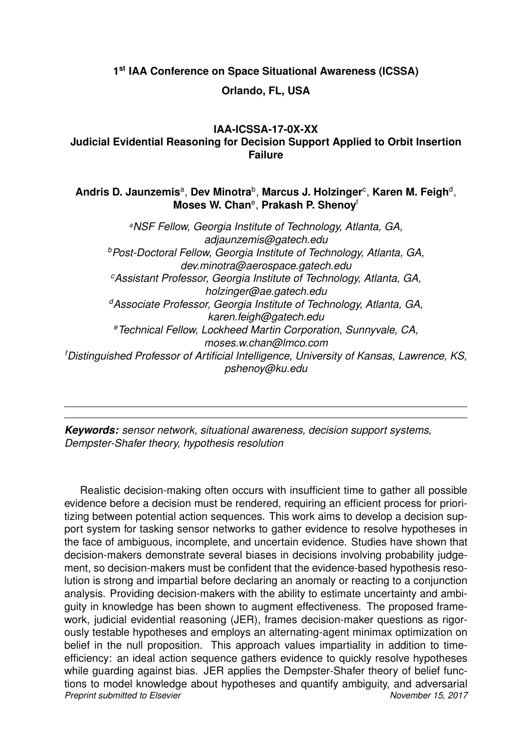**1 st IAA Conference on Space Situational Awareness (ICSSA)**

# **Orlando, FL, USA**

# **IAA-ICSSA-17-0X-XX Judicial Evidential Reasoning for Decision Support Applied to Orbit Insertion Failure**

# Andris D. Jaunzemisª, Dev Minotra<sup>b</sup>, Marcus J. Holzinger<sup>c</sup>, Karen M. Feigh<sup>d</sup>, **Moses W. Chan**<sup>e</sup> , **Prakash P. Shenoy**<sup>f</sup>

*<sup>a</sup>NSF Fellow, Georgia Institute of Technology, Atlanta, GA, adjaunzemis@gatech.edu <sup>b</sup>Post-Doctoral Fellow, Georgia Institute of Technology, Atlanta, GA, dev.minotra@aerospace.gatech.edu <sup>c</sup>Assistant Professor, Georgia Institute of Technology, Atlanta, GA, holzinger@ae.gatech.edu <sup>d</sup>Associate Professor, Georgia Institute of Technology, Atlanta, GA, karen.feigh@gatech.edu <sup>e</sup>Technical Fellow, Lockheed Martin Corporation, Sunnyvale, CA, moses.w.chan@lmco.com <sup>f</sup>Distinguished Professor of Artificial Intelligence, University of Kansas, Lawrence, KS, pshenoy@ku.edu*

*Keywords: sensor network, situational awareness, decision support systems, Dempster-Shafer theory, hypothesis resolution*

Realistic decision-making often occurs with insufficient time to gather all possible evidence before a decision must be rendered, requiring an efficient process for prioritizing between potential action sequences. This work aims to develop a decision support system for tasking sensor networks to gather evidence to resolve hypotheses in the face of ambiguous, incomplete, and uncertain evidence. Studies have shown that decision-makers demonstrate several biases in decisions involving probability judgement, so decision-makers must be confident that the evidence-based hypothesis resolution is strong and impartial before declaring an anomaly or reacting to a conjunction analysis. Providing decision-makers with the ability to estimate uncertainty and ambiguity in knowledge has been shown to augment effectiveness. The proposed framework, judicial evidential reasoning (JER), frames decision-maker questions as rigorously testable hypotheses and employs an alternating-agent minimax optimization on belief in the null proposition. This approach values impartiality in addition to timeefficiency: an ideal action sequence gathers evidence to quickly resolve hypotheses while guarding against bias. JER applies the Dempster-Shafer theory of belief functions to model knowledge about hypotheses and quantify ambiguity, and adversarial **Preprint submitted to Elsevier November 15, 2017**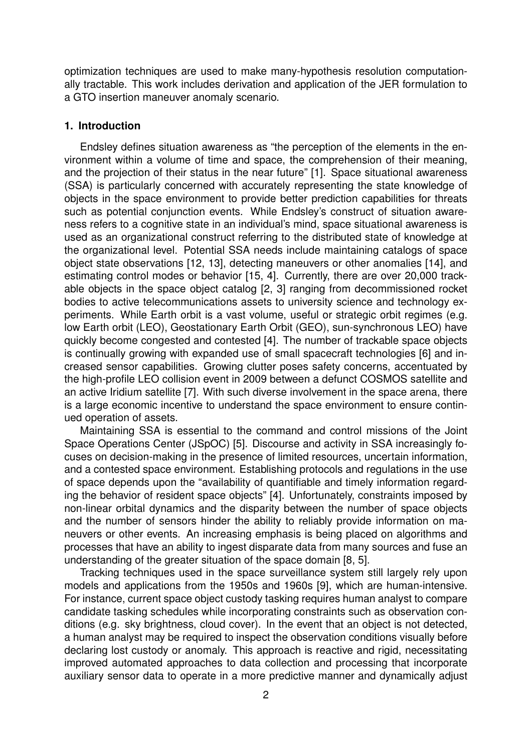optimization techniques are used to make many-hypothesis resolution computationally tractable. This work includes derivation and application of the JER formulation to a GTO insertion maneuver anomaly scenario.

### **1. Introduction**

Endsley defines situation awareness as "the perception of the elements in the environment within a volume of time and space, the comprehension of their meaning, and the projection of their status in the near future" [1]. Space situational awareness (SSA) is particularly concerned with accurately representing the state knowledge of objects in the space environment to provide better prediction capabilities for threats such as potential conjunction events. While Endsley's construct of situation awareness refers to a cognitive state in an individual's mind, space situational awareness is used as an organizational construct referring to the distributed state of knowledge at the organizational level. Potential SSA needs include maintaining catalogs of space object state observations [12, 13], detecting maneuvers or other anomalies [14], and estimating control modes or behavior [15, 4]. Currently, there are over 20,000 trackable objects in the space object catalog [2, 3] ranging from decommissioned rocket bodies to active telecommunications assets to university science and technology experiments. While Earth orbit is a vast volume, useful or strategic orbit regimes (e.g. low Earth orbit (LEO), Geostationary Earth Orbit (GEO), sun-synchronous LEO) have quickly become congested and contested [4]. The number of trackable space objects is continually growing with expanded use of small spacecraft technologies [6] and increased sensor capabilities. Growing clutter poses safety concerns, accentuated by the high-profile LEO collision event in 2009 between a defunct COSMOS satellite and an active Iridium satellite [7]. With such diverse involvement in the space arena, there is a large economic incentive to understand the space environment to ensure continued operation of assets.

Maintaining SSA is essential to the command and control missions of the Joint Space Operations Center (JSpOC) [5]. Discourse and activity in SSA increasingly focuses on decision-making in the presence of limited resources, uncertain information, and a contested space environment. Establishing protocols and regulations in the use of space depends upon the "availability of quantifiable and timely information regarding the behavior of resident space objects" [4]. Unfortunately, constraints imposed by non-linear orbital dynamics and the disparity between the number of space objects and the number of sensors hinder the ability to reliably provide information on maneuvers or other events. An increasing emphasis is being placed on algorithms and processes that have an ability to ingest disparate data from many sources and fuse an understanding of the greater situation of the space domain [8, 5].

Tracking techniques used in the space surveillance system still largely rely upon models and applications from the 1950s and 1960s [9], which are human-intensive. For instance, current space object custody tasking requires human analyst to compare candidate tasking schedules while incorporating constraints such as observation conditions (e.g. sky brightness, cloud cover). In the event that an object is not detected, a human analyst may be required to inspect the observation conditions visually before declaring lost custody or anomaly. This approach is reactive and rigid, necessitating improved automated approaches to data collection and processing that incorporate auxiliary sensor data to operate in a more predictive manner and dynamically adjust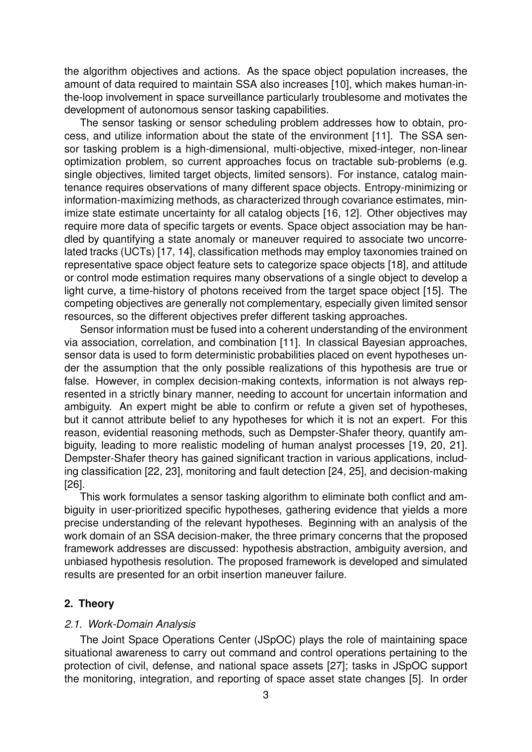the algorithm objectives and actions. As the space object population increases, the amount of data required to maintain SSA also increases [10], which makes human-inthe-loop involvement in space surveillance particularly troublesome and motivates the development of autonomous sensor tasking capabilities.

The sensor tasking or sensor scheduling problem addresses how to obtain, process, and utilize information about the state of the environment [11]. The SSA sensor tasking problem is a high-dimensional, multi-objective, mixed-integer, non-linear optimization problem, so current approaches focus on tractable sub-problems (e.g. single objectives, limited target objects, limited sensors). For instance, catalog maintenance requires observations of many different space objects. Entropy-minimizing or information-maximizing methods, as characterized through covariance estimates, minimize state estimate uncertainty for all catalog objects [16, 12]. Other objectives may require more data of specific targets or events. Space object association may be handled by quantifying a state anomaly or maneuver required to associate two uncorrelated tracks (UCTs) [17, 14], classification methods may employ taxonomies trained on representative space object feature sets to categorize space objects [18], and attitude or control mode estimation requires many observations of a single object to develop a light curve, a time-history of photons received from the target space object [15]. The competing objectives are generally not complementary, especially given limited sensor resources, so the different objectives prefer different tasking approaches.

Sensor information must be fused into a coherent understanding of the environment via association, correlation, and combination [11]. In classical Bayesian approaches, sensor data is used to form deterministic probabilities placed on event hypotheses under the assumption that the only possible realizations of this hypothesis are true or false. However, in complex decision-making contexts, information is not always represented in a strictly binary manner, needing to account for uncertain information and ambiguity. An expert might be able to confirm or refute a given set of hypotheses, but it cannot attribute belief to any hypotheses for which it is not an expert. For this reason, evidential reasoning methods, such as Dempster-Shafer theory, quantify ambiguity, leading to more realistic modeling of human analyst processes [19, 20, 21]. Dempster-Shafer theory has gained significant traction in various applications, including classification [22, 23], monitoring and fault detection [24, 25], and decision-making [26].

This work formulates a sensor tasking algorithm to eliminate both conflict and ambiguity in user-prioritized specific hypotheses, gathering evidence that yields a more precise understanding of the relevant hypotheses. Beginning with an analysis of the work domain of an SSA decision-maker, the three primary concerns that the proposed framework addresses are discussed: hypothesis abstraction, ambiguity aversion, and unbiased hypothesis resolution. The proposed framework is developed and simulated results are presented for an orbit insertion maneuver failure.

## **2. Theory**

### *2.1. Work-Domain Analysis*

The Joint Space Operations Center (JSpOC) plays the role of maintaining space situational awareness to carry out command and control operations pertaining to the protection of civil, defense, and national space assets [27]; tasks in JSpOC support the monitoring, integration, and reporting of space asset state changes [5]. In order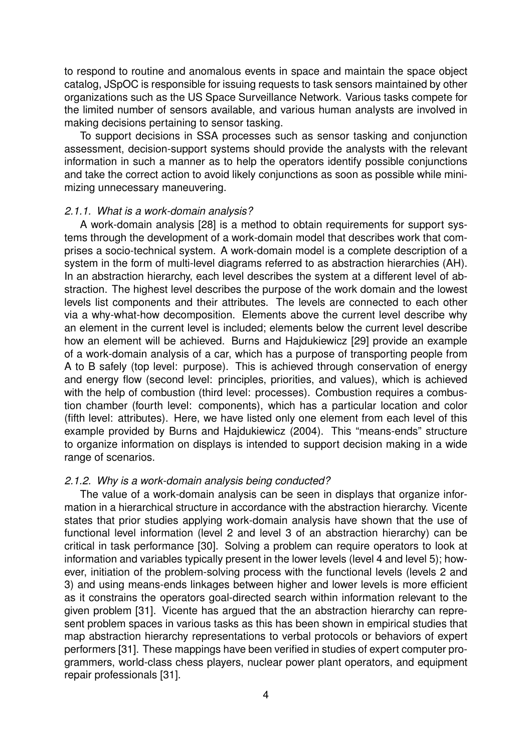to respond to routine and anomalous events in space and maintain the space object catalog, JSpOC is responsible for issuing requests to task sensors maintained by other organizations such as the US Space Surveillance Network. Various tasks compete for the limited number of sensors available, and various human analysts are involved in making decisions pertaining to sensor tasking.

To support decisions in SSA processes such as sensor tasking and conjunction assessment, decision-support systems should provide the analysts with the relevant information in such a manner as to help the operators identify possible conjunctions and take the correct action to avoid likely conjunctions as soon as possible while minimizing unnecessary maneuvering.

### *2.1.1. What is a work-domain analysis?*

A work-domain analysis [28] is a method to obtain requirements for support systems through the development of a work-domain model that describes work that comprises a socio-technical system. A work-domain model is a complete description of a system in the form of multi-level diagrams referred to as abstraction hierarchies (AH). In an abstraction hierarchy, each level describes the system at a different level of abstraction. The highest level describes the purpose of the work domain and the lowest levels list components and their attributes. The levels are connected to each other via a why-what-how decomposition. Elements above the current level describe why an element in the current level is included; elements below the current level describe how an element will be achieved. Burns and Hajdukiewicz [29] provide an example of a work-domain analysis of a car, which has a purpose of transporting people from A to B safely (top level: purpose). This is achieved through conservation of energy and energy flow (second level: principles, priorities, and values), which is achieved with the help of combustion (third level: processes). Combustion requires a combustion chamber (fourth level: components), which has a particular location and color (fifth level: attributes). Here, we have listed only one element from each level of this example provided by Burns and Hajdukiewicz (2004). This "means-ends" structure to organize information on displays is intended to support decision making in a wide range of scenarios.

## *2.1.2. Why is a work-domain analysis being conducted?*

The value of a work-domain analysis can be seen in displays that organize information in a hierarchical structure in accordance with the abstraction hierarchy. Vicente states that prior studies applying work-domain analysis have shown that the use of functional level information (level 2 and level 3 of an abstraction hierarchy) can be critical in task performance [30]. Solving a problem can require operators to look at information and variables typically present in the lower levels (level 4 and level 5); however, initiation of the problem-solving process with the functional levels (levels 2 and 3) and using means-ends linkages between higher and lower levels is more efficient as it constrains the operators goal-directed search within information relevant to the given problem [31]. Vicente has argued that the an abstraction hierarchy can represent problem spaces in various tasks as this has been shown in empirical studies that map abstraction hierarchy representations to verbal protocols or behaviors of expert performers [31]. These mappings have been verified in studies of expert computer programmers, world-class chess players, nuclear power plant operators, and equipment repair professionals [31].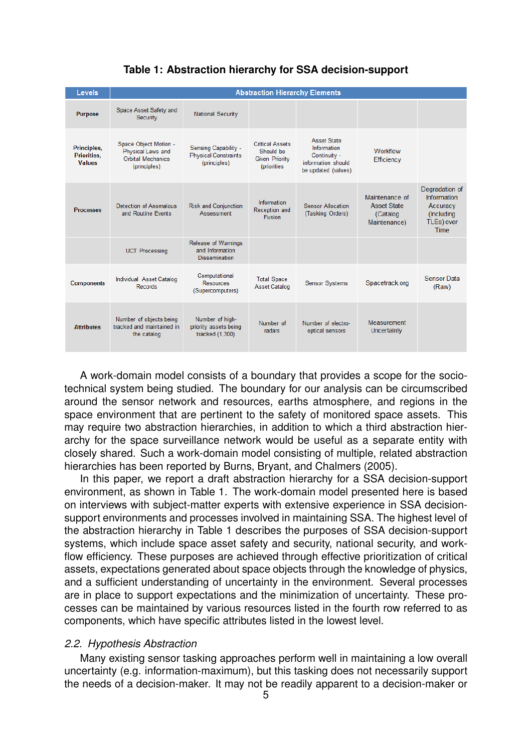| Levels                                             | <b>Abstraction Hierarchy Elements</b>                                                  |                                                                            |                                                                             |                                                                                                |                                                                  |                                                                               |
|----------------------------------------------------|----------------------------------------------------------------------------------------|----------------------------------------------------------------------------|-----------------------------------------------------------------------------|------------------------------------------------------------------------------------------------|------------------------------------------------------------------|-------------------------------------------------------------------------------|
| <b>Purpose</b>                                     | Space Asset Safety and<br>Security                                                     | <b>National Security</b>                                                   |                                                                             |                                                                                                |                                                                  |                                                                               |
| Principles,<br><b>Priorities.</b><br><b>Values</b> | Space Object Motion -<br>Physical Laws and<br><b>Orbital Mechanics</b><br>(principles) | <b>Sensing Capability -</b><br><b>Physical Constraints</b><br>(principles) | <b>Critical Assets</b><br>Should be<br><b>Given Priority</b><br>(priorities | <b>Asset State</b><br>Information<br>Continuity -<br>information should<br>be updated (values) | Workflow<br>Efficiency                                           |                                                                               |
| <b>Processes</b>                                   | Detection of Anomalous<br>and Routine Events                                           | <b>Risk and Conjunction</b><br>Assessment                                  | Information<br>Reception and<br>Fusion                                      | <b>Sensor Allocation</b><br>(Tasking Orders)                                                   | Maintenance of<br><b>Asset State</b><br>(Catalog<br>Maintenance) | Degradation of<br>Information<br>Accuracy<br>(Including<br>TLEs) over<br>Time |
|                                                    | <b>UCT Processing</b>                                                                  | <b>Release of Warnings</b><br>and Information<br><b>Dissemination</b>      |                                                                             |                                                                                                |                                                                  |                                                                               |
| <b>Components</b>                                  | Individual Asset Catalog<br>Records                                                    | Computational<br><b>Resources</b><br>(Supercomputers)                      | <b>Total Space</b><br><b>Asset Catalog</b>                                  | <b>Sensor Systems</b>                                                                          | Spacetrack.org                                                   | Sensor Data<br>(Raw)                                                          |
| <b>Attributes</b>                                  | Number of objects being<br>tracked and maintained in<br>the catalog                    | Number of high-<br>priority assets being<br>tracked (1,300)                | Number of<br>radars                                                         | Number of electro-<br>optical sensors                                                          | Measurement<br>Uncertainty                                       |                                                                               |

A work-domain model consists of a boundary that provides a scope for the sociotechnical system being studied. The boundary for our analysis can be circumscribed around the sensor network and resources, earths atmosphere, and regions in the space environment that are pertinent to the safety of monitored space assets. This may require two abstraction hierarchies, in addition to which a third abstraction hierarchy for the space surveillance network would be useful as a separate entity with closely shared. Such a work-domain model consisting of multiple, related abstraction hierarchies has been reported by Burns, Bryant, and Chalmers (2005).

In this paper, we report a draft abstraction hierarchy for a SSA decision-support environment, as shown in Table 1. The work-domain model presented here is based on interviews with subject-matter experts with extensive experience in SSA decisionsupport environments and processes involved in maintaining SSA. The highest level of the abstraction hierarchy in Table 1 describes the purposes of SSA decision-support systems, which include space asset safety and security, national security, and workflow efficiency. These purposes are achieved through effective prioritization of critical assets, expectations generated about space objects through the knowledge of physics, and a sufficient understanding of uncertainty in the environment. Several processes are in place to support expectations and the minimization of uncertainty. These processes can be maintained by various resources listed in the fourth row referred to as components, which have specific attributes listed in the lowest level.

## *2.2. Hypothesis Abstraction*

Many existing sensor tasking approaches perform well in maintaining a low overall uncertainty (e.g. information-maximum), but this tasking does not necessarily support the needs of a decision-maker. It may not be readily apparent to a decision-maker or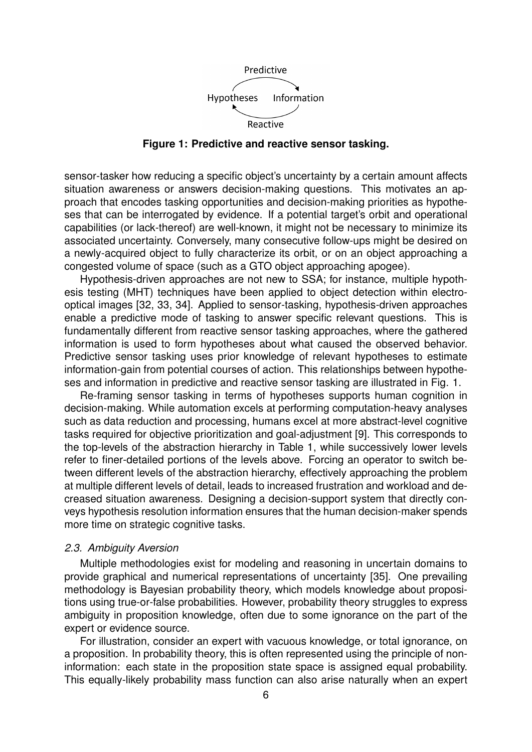

**Figure 1: Predictive and reactive sensor tasking.**

sensor-tasker how reducing a specific object's uncertainty by a certain amount affects situation awareness or answers decision-making questions. This motivates an approach that encodes tasking opportunities and decision-making priorities as hypotheses that can be interrogated by evidence. If a potential target's orbit and operational capabilities (or lack-thereof) are well-known, it might not be necessary to minimize its associated uncertainty. Conversely, many consecutive follow-ups might be desired on a newly-acquired object to fully characterize its orbit, or on an object approaching a congested volume of space (such as a GTO object approaching apogee).

Hypothesis-driven approaches are not new to SSA; for instance, multiple hypothesis testing (MHT) techniques have been applied to object detection within electrooptical images [32, 33, 34]. Applied to sensor-tasking, hypothesis-driven approaches enable a predictive mode of tasking to answer specific relevant questions. This is fundamentally different from reactive sensor tasking approaches, where the gathered information is used to form hypotheses about what caused the observed behavior. Predictive sensor tasking uses prior knowledge of relevant hypotheses to estimate information-gain from potential courses of action. This relationships between hypotheses and information in predictive and reactive sensor tasking are illustrated in Fig. 1.

Re-framing sensor tasking in terms of hypotheses supports human cognition in decision-making. While automation excels at performing computation-heavy analyses such as data reduction and processing, humans excel at more abstract-level cognitive tasks required for objective prioritization and goal-adjustment [9]. This corresponds to the top-levels of the abstraction hierarchy in Table 1, while successively lower levels refer to finer-detailed portions of the levels above. Forcing an operator to switch between different levels of the abstraction hierarchy, effectively approaching the problem at multiple different levels of detail, leads to increased frustration and workload and decreased situation awareness. Designing a decision-support system that directly conveys hypothesis resolution information ensures that the human decision-maker spends more time on strategic cognitive tasks.

### *2.3. Ambiguity Aversion*

Multiple methodologies exist for modeling and reasoning in uncertain domains to provide graphical and numerical representations of uncertainty [35]. One prevailing methodology is Bayesian probability theory, which models knowledge about propositions using true-or-false probabilities. However, probability theory struggles to express ambiguity in proposition knowledge, often due to some ignorance on the part of the expert or evidence source.

For illustration, consider an expert with vacuous knowledge, or total ignorance, on a proposition. In probability theory, this is often represented using the principle of noninformation: each state in the proposition state space is assigned equal probability. This equally-likely probability mass function can also arise naturally when an expert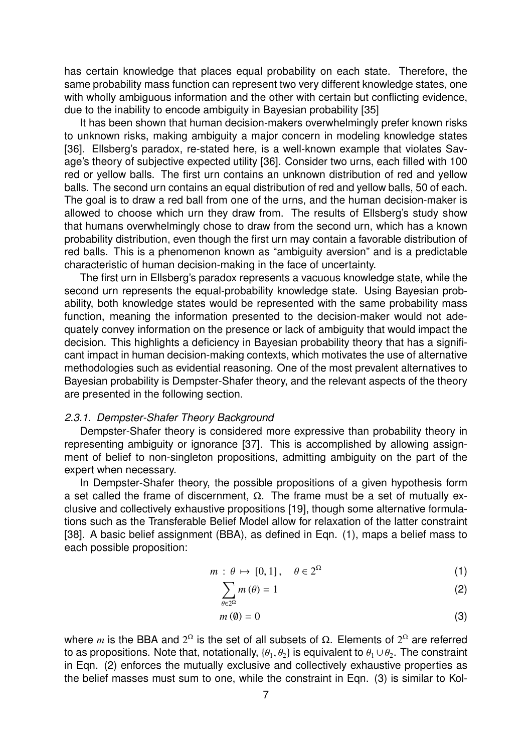has certain knowledge that places equal probability on each state. Therefore, the same probability mass function can represent two very different knowledge states, one with wholly ambiguous information and the other with certain but conflicting evidence, due to the inability to encode ambiguity in Bayesian probability [35]

It has been shown that human decision-makers overwhelmingly prefer known risks to unknown risks, making ambiguity a major concern in modeling knowledge states [36]. Ellsberg's paradox, re-stated here, is a well-known example that violates Savage's theory of subjective expected utility [36]. Consider two urns, each filled with 100 red or yellow balls. The first urn contains an unknown distribution of red and yellow balls. The second urn contains an equal distribution of red and yellow balls, 50 of each. The goal is to draw a red ball from one of the urns, and the human decision-maker is allowed to choose which urn they draw from. The results of Ellsberg's study show that humans overwhelmingly chose to draw from the second urn, which has a known probability distribution, even though the first urn may contain a favorable distribution of red balls. This is a phenomenon known as "ambiguity aversion" and is a predictable characteristic of human decision-making in the face of uncertainty.

The first urn in Ellsberg's paradox represents a vacuous knowledge state, while the second urn represents the equal-probability knowledge state. Using Bayesian probability, both knowledge states would be represented with the same probability mass function, meaning the information presented to the decision-maker would not adequately convey information on the presence or lack of ambiguity that would impact the decision. This highlights a deficiency in Bayesian probability theory that has a significant impact in human decision-making contexts, which motivates the use of alternative methodologies such as evidential reasoning. One of the most prevalent alternatives to Bayesian probability is Dempster-Shafer theory, and the relevant aspects of the theory are presented in the following section.

### *2.3.1. Dempster-Shafer Theory Background*

Dempster-Shafer theory is considered more expressive than probability theory in representing ambiguity or ignorance [37]. This is accomplished by allowing assignment of belief to non-singleton propositions, admitting ambiguity on the part of the expert when necessary.

In Dempster-Shafer theory, the possible propositions of a given hypothesis form a set called the frame of discernment,  $Ω$ . The frame must be a set of mutually exclusive and collectively exhaustive propositions [19], though some alternative formulations such as the Transferable Belief Model allow for relaxation of the latter constraint [38]. A basic belief assignment (BBA), as defined in Eqn. (1), maps a belief mass to each possible proposition:

$$
m: \theta \mapsto [0,1], \quad \theta \in 2^{\Omega}
$$
 (1)

$$
\sum_{\theta \in 2^{\Omega}} m(\theta) = 1 \tag{2}
$$

$$
m\left(\emptyset\right) = 0\tag{3}
$$

where *m* is the BBA and  $2^{\Omega}$  is the set of all subsets of  $\Omega$ . Elements of  $2^{\Omega}$  are referred to as propositions. Note that, notationally,  $\{\theta_1, \theta_2\}$  is equivalent to  $\theta_1 \cup \theta_2$ . The constraint in Eqn. (2) enforces the mutually exclusive and collectively exhaustive properties as the belief masses must sum to one, while the constraint in Eqn. (3) is similar to Kol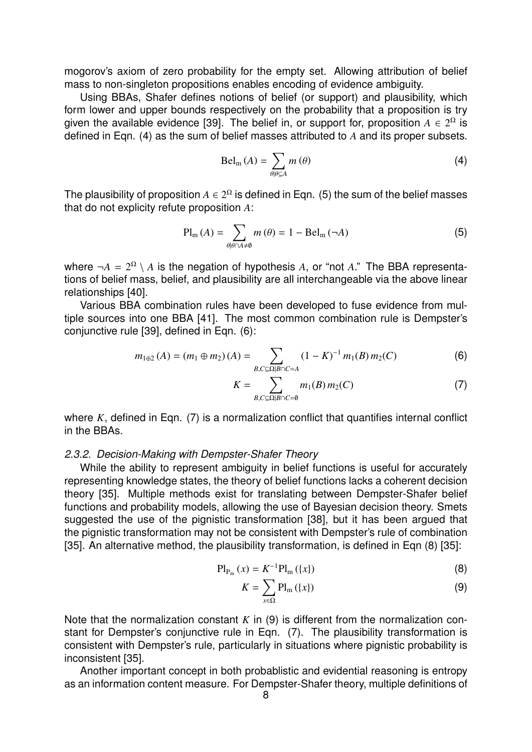mogorov's axiom of zero probability for the empty set. Allowing attribution of belief mass to non-singleton propositions enables encoding of evidence ambiguity.

Using BBAs, Shafer defines notions of belief (or support) and plausibility, which form lower and upper bounds respectively on the probability that a proposition is try given the available evidence [39]. The belief in, or support for, proposition  $A \in 2^{\Omega}$  is defined in Eqn. (4) as the sum of belief masses attributed to *A* and its proper subsets.

$$
\mathrm{Bel}_{\mathrm{m}}\left(A\right) = \sum_{\theta \mid \theta \subseteq A} m\left(\theta\right) \tag{4}
$$

The plausibility of proposition  $A \in 2^{\Omega}$  is defined in Eqn. (5) the sum of the belief masses that do not explicity refute proposition *A*:

$$
\text{Pl}_{\text{m}}\left(A\right) = \sum_{\theta \mid \theta \cap A \neq \theta} m\left(\theta\right) = 1 - \text{Bel}_{\text{m}}\left(\neg A\right) \tag{5}
$$

where  $\neg A = 2^{\Omega} \setminus A$  is the negation of hypothesis A, or "not A." The BBA representations of belief mass, belief, and plausibility are all interchangeable via the above linear relationships [40].

Various BBA combination rules have been developed to fuse evidence from multiple sources into one BBA [41]. The most common combination rule is Dempster's conjunctive rule [39], defined in Eqn. (6):

$$
m_{1\oplus 2}(A) = (m_1 \oplus m_2)(A) = \sum_{B,C \subseteq \Omega | B \cap C = A} (1 - K)^{-1} m_1(B) m_2(C)
$$
 (6)

$$
K = \sum_{B,C \subseteq \Omega \mid B \cap C = \emptyset} m_1(B) m_2(C) \tag{7}
$$

where *K*, defined in Eqn. (7) is a normalization conflict that quantifies internal conflict in the BBAs.

### *2.3.2. Decision-Making with Dempster-Shafer Theory*

While the ability to represent ambiguity in belief functions is useful for accurately representing knowledge states, the theory of belief functions lacks a coherent decision theory [35]. Multiple methods exist for translating between Dempster-Shafer belief functions and probability models, allowing the use of Bayesian decision theory. Smets suggested the use of the pignistic transformation [38], but it has been argued that the pignistic transformation may not be consistent with Dempster's rule of combination [35]. An alternative method, the plausibility transformation, is defined in Eqn (8) [35]:

$$
Pl_{P_m}(x) = K^{-1}Pl_m(\{x\})
$$
 (8)

$$
K = \sum_{x \in \Omega} \mathbf{Pl}_{m} \left( \{ x \} \right) \tag{9}
$$

Note that the normalization constant *K* in (9) is different from the normalization constant for Dempster's conjunctive rule in Eqn. (7). The plausibility transformation is consistent with Dempster's rule, particularly in situations where pignistic probability is inconsistent [35].

Another important concept in both probablistic and evidential reasoning is entropy as an information content measure. For Dempster-Shafer theory, multiple definitions of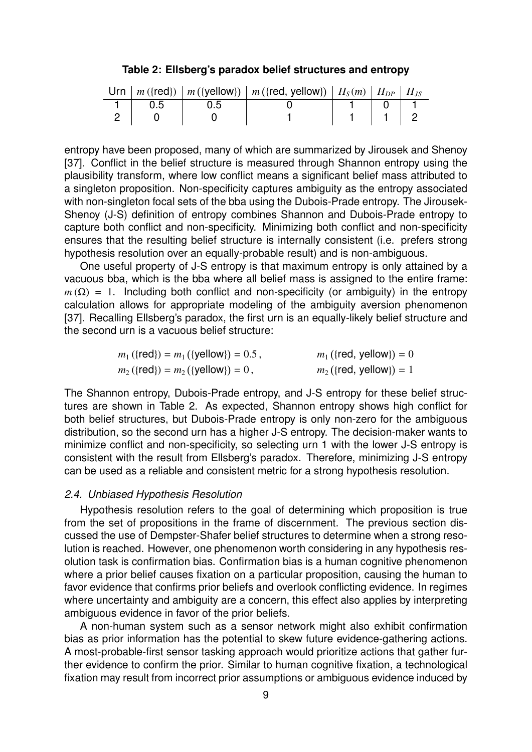**Table 2: Ellsberg's paradox belief structures and entropy**

|                 |       | Urn $\mid m({\text{red}})\mid m({\text{yellow}})\mid m({\text{red, yellow}})\mid H_{\text{S}}(m) \mid H_{\text{DP}}\mid H_{\text{JS}}$ |                                                                                          |  |
|-----------------|-------|----------------------------------------------------------------------------------------------------------------------------------------|------------------------------------------------------------------------------------------|--|
| $1 \t 0.5 \t 1$ | . ს.ხ |                                                                                                                                        | $\begin{array}{c c c c c c c c} \hline \textbf{1} & \textbf{0} & \textbf{1} \end{array}$ |  |
| 2 0             |       |                                                                                                                                        |                                                                                          |  |

entropy have been proposed, many of which are summarized by Jirousek and Shenoy [37]. Conflict in the belief structure is measured through Shannon entropy using the plausibility transform, where low conflict means a significant belief mass attributed to a singleton proposition. Non-specificity captures ambiguity as the entropy associated with non-singleton focal sets of the bba using the Dubois-Prade entropy. The Jirousek-Shenoy (J-S) definition of entropy combines Shannon and Dubois-Prade entropy to capture both conflict and non-specificity. Minimizing both conflict and non-specificity ensures that the resulting belief structure is internally consistent (i.e. prefers strong hypothesis resolution over an equally-probable result) and is non-ambiguous.

One useful property of J-S entropy is that maximum entropy is only attained by a vacuous bba, which is the bba where all belief mass is assigned to the entire frame:  $m(\Omega) = 1$ . Including both conflict and non-specificity (or ambiguity) in the entropy calculation allows for appropriate modeling of the ambiguity aversion phenomenon [37]. Recalling Ellsberg's paradox, the first urn is an equally-likely belief structure and the second urn is a vacuous belief structure:

| $m_1$ ({red}) = $m_1$ ({yellow}) = 0.5,          | $m_1$ ({red, yellow}) = 0 |
|--------------------------------------------------|---------------------------|
| $m_2({\text{red}}) = m_2({\text{yellow}}) = 0$ , | $m_2$ ({red, yellow}) = 1 |

The Shannon entropy, Dubois-Prade entropy, and J-S entropy for these belief structures are shown in Table 2. As expected, Shannon entropy shows high conflict for both belief structures, but Dubois-Prade entropy is only non-zero for the ambiguous distribution, so the second urn has a higher J-S entropy. The decision-maker wants to minimize conflict and non-specificity, so selecting urn 1 with the lower J-S entropy is consistent with the result from Ellsberg's paradox. Therefore, minimizing J-S entropy can be used as a reliable and consistent metric for a strong hypothesis resolution.

## *2.4. Unbiased Hypothesis Resolution*

Hypothesis resolution refers to the goal of determining which proposition is true from the set of propositions in the frame of discernment. The previous section discussed the use of Dempster-Shafer belief structures to determine when a strong resolution is reached. However, one phenomenon worth considering in any hypothesis resolution task is confirmation bias. Confirmation bias is a human cognitive phenomenon where a prior belief causes fixation on a particular proposition, causing the human to favor evidence that confirms prior beliefs and overlook conflicting evidence. In regimes where uncertainty and ambiguity are a concern, this effect also applies by interpreting ambiguous evidence in favor of the prior beliefs.

A non-human system such as a sensor network might also exhibit confirmation bias as prior information has the potential to skew future evidence-gathering actions. A most-probable-first sensor tasking approach would prioritize actions that gather further evidence to confirm the prior. Similar to human cognitive fixation, a technological fixation may result from incorrect prior assumptions or ambiguous evidence induced by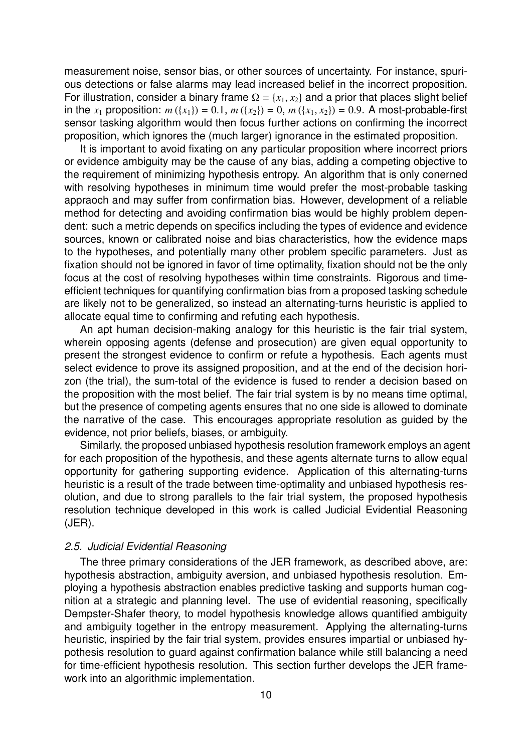measurement noise, sensor bias, or other sources of uncertainty. For instance, spurious detections or false alarms may lead increased belief in the incorrect proposition. For illustration, consider a binary frame  $\Omega = \{x_1, x_2\}$  and a prior that places slight belief in the  $x_1$  proposition:  $m({x_1}) = 0.1$ ,  $m({x_2}) = 0$ ,  $m({x_1, x_2}) = 0.9$ . A most-probable-first sensor tasking algorithm would then focus further actions on confirming the incorrect proposition, which ignores the (much larger) ignorance in the estimated proposition.

It is important to avoid fixating on any particular proposition where incorrect priors or evidence ambiguity may be the cause of any bias, adding a competing objective to the requirement of minimizing hypothesis entropy. An algorithm that is only conerned with resolving hypotheses in minimum time would prefer the most-probable tasking appraoch and may suffer from confirmation bias. However, development of a reliable method for detecting and avoiding confirmation bias would be highly problem dependent: such a metric depends on specifics including the types of evidence and evidence sources, known or calibrated noise and bias characteristics, how the evidence maps to the hypotheses, and potentially many other problem specific parameters. Just as fixation should not be ignored in favor of time optimality, fixation should not be the only focus at the cost of resolving hypotheses within time constraints. Rigorous and timeefficient techniques for quantifying confirmation bias from a proposed tasking schedule are likely not to be generalized, so instead an alternating-turns heuristic is applied to allocate equal time to confirming and refuting each hypothesis.

An apt human decision-making analogy for this heuristic is the fair trial system, wherein opposing agents (defense and prosecution) are given equal opportunity to present the strongest evidence to confirm or refute a hypothesis. Each agents must select evidence to prove its assigned proposition, and at the end of the decision horizon (the trial), the sum-total of the evidence is fused to render a decision based on the proposition with the most belief. The fair trial system is by no means time optimal, but the presence of competing agents ensures that no one side is allowed to dominate the narrative of the case. This encourages appropriate resolution as guided by the evidence, not prior beliefs, biases, or ambiguity.

Similarly, the proposed unbiased hypothesis resolution framework employs an agent for each proposition of the hypothesis, and these agents alternate turns to allow equal opportunity for gathering supporting evidence. Application of this alternating-turns heuristic is a result of the trade between time-optimality and unbiased hypothesis resolution, and due to strong parallels to the fair trial system, the proposed hypothesis resolution technique developed in this work is called Judicial Evidential Reasoning (JER).

### *2.5. Judicial Evidential Reasoning*

The three primary considerations of the JER framework, as described above, are: hypothesis abstraction, ambiguity aversion, and unbiased hypothesis resolution. Employing a hypothesis abstraction enables predictive tasking and supports human cognition at a strategic and planning level. The use of evidential reasoning, specifically Dempster-Shafer theory, to model hypothesis knowledge allows quantified ambiguity and ambiguity together in the entropy measurement. Applying the alternating-turns heuristic, inspiried by the fair trial system, provides ensures impartial or unbiased hypothesis resolution to guard against confirmation balance while still balancing a need for time-efficient hypothesis resolution. This section further develops the JER framework into an algorithmic implementation.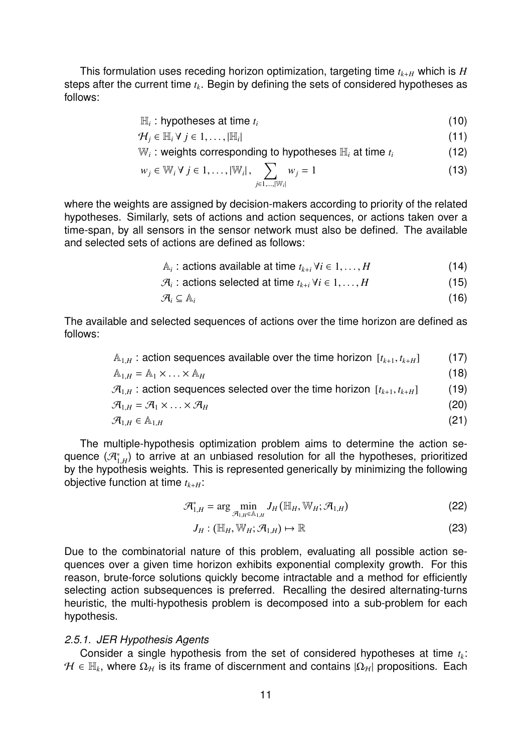This formulation uses receding horizon optimization, targeting time  $t_{k+H}$  which is  $H$ steps after the current time *t<sup>k</sup>* . Begin by defining the sets of considered hypotheses as follows:

$$
\mathbb{H}_i: \text{hypotheses at time } t_i \tag{10}
$$

 $\mathcal{H}_i \in \mathbb{H}_i \forall j \in 1, \ldots, |\mathbb{H}_i|$  $\vert$  (11)

 $\mathbb{W}_i$ : weights corresponding to hypotheses  $\mathbb{H}_i$  at time  $t_i$  (12)

$$
w_j \in \mathbb{W}_i \ \forall \ j \in 1, \dots, |\mathbb{W}_i|, \sum_{j \in 1, \dots, |\mathbb{W}_i|} w_j = 1
$$
\n
$$
(13)
$$

where the weights are assigned by decision-makers according to priority of the related hypotheses. Similarly, sets of actions and action sequences, or actions taken over a time-span, by all sensors in the sensor network must also be defined. The available and selected sets of actions are defined as follows:

$$
\mathbb{A}_{i}: \text{actions available at time } t_{k+i} \forall i \in 1, \dots, H
$$
\n
$$
\mathbb{Z} \text{ is orthogonal to time } t_{k+1} \forall i \in 1, \dots, H
$$
\n
$$
(15)
$$

$$
\mathcal{A}_i: \text{actions selected at time } t_{k+i} \,\forall i \in 1, \dots, H \tag{15}
$$
\n
$$
\mathcal{A}_i \subset \mathbb{A} \tag{16}
$$

$$
\mathcal{A}_i \subseteq \mathbb{A}_i \tag{16}
$$

The available and selected sequences of actions over the time horizon are defined as follows:

| $A_{1H}$ : action sequences available over the time horizon $[t_{k+1}, t_{k+H}]$          | (17) |
|-------------------------------------------------------------------------------------------|------|
| $A_{1,H} = A_1 \times  \times A_H$                                                        | (18) |
| $\mathcal{A}_{1H}$ : action sequences selected over the time horizon $[t_{k+1}, t_{k+H}]$ | (19) |
| $\mathcal{A}_{1,H} = \mathcal{A}_1 \times \ldots \times \mathcal{A}_H$                    | (20) |
| $\mathcal{A}_{1,H} \in \mathbb{A}_{1,H}$                                                  | (21) |
|                                                                                           |      |

The multiple-hypothesis optimization problem aims to determine the action sequence  $(\mathcal{A}_{1H}^*)$  to arrive at an unbiased resolution for all the hypotheses, prioritized by the hypothesis weights. This is represented generically by minimizing the following objective function at time *t<sup>k</sup>*+*<sup>H</sup>*:

$$
\mathcal{A}_{1,H}^* = \arg\min_{\mathcal{A}_{1,H} \in \mathbb{A}_{1,H}} J_H(\mathbb{H}_H, \mathbb{W}_H; \mathcal{A}_{1,H})
$$
(22)

$$
J_H: (\mathbb{H}_H, \mathbb{W}_H; \mathcal{A}_{1,H}) \mapsto \mathbb{R}
$$
 (23)

Due to the combinatorial nature of this problem, evaluating all possible action sequences over a given time horizon exhibits exponential complexity growth. For this reason, brute-force solutions quickly become intractable and a method for efficiently selecting action subsequences is preferred. Recalling the desired alternating-turns heuristic, the multi-hypothesis problem is decomposed into a sub-problem for each hypothesis.

## *2.5.1. JER Hypothesis Agents*

Consider a single hypothesis from the set of considered hypotheses at time *t<sup>k</sup>* :  $\mathcal{H} \in \mathbb{H}_k$ , where  $\Omega_{\mathcal{H}}$  is its frame of discernment and contains  $|\Omega_{\mathcal{H}}|$  propositions. Each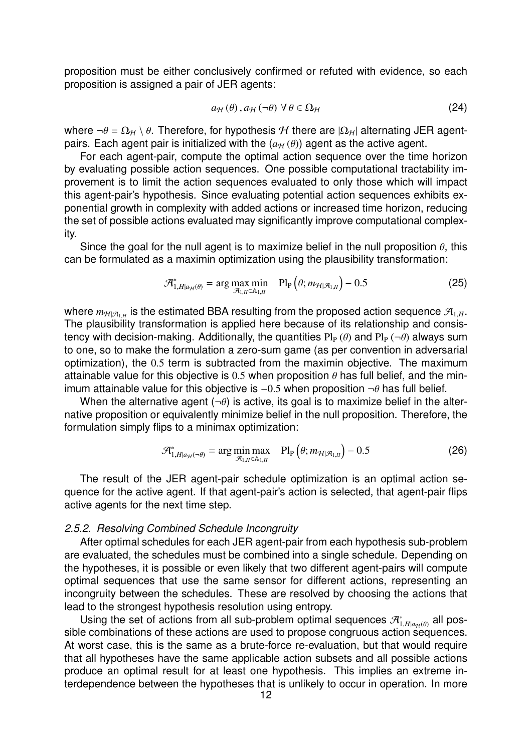proposition must be either conclusively confirmed or refuted with evidence, so each proposition is assigned a pair of JER agents:

$$
a_{\mathcal{H}}(\theta), a_{\mathcal{H}}(\neg \theta) \forall \theta \in \Omega_{\mathcal{H}}
$$
\n(24)

where  $\neg \theta = \Omega_H \setminus \theta$ . Therefore, for hypothesis H there are  $|\Omega_H|$  alternating JER agentpairs. Each agent pair is initialized with the  $(a_H(\theta))$  agent as the active agent.

For each agent-pair, compute the optimal action sequence over the time horizon by evaluating possible action sequences. One possible computational tractability improvement is to limit the action sequences evaluated to only those which will impact this agent-pair's hypothesis. Since evaluating potential action sequences exhibits exponential growth in complexity with added actions or increased time horizon, reducing the set of possible actions evaluated may significantly improve computational complexity.

Since the goal for the null agent is to maximize belief in the null proposition  $\theta$ , this can be formulated as a maximin optimization using the plausibility transformation:

$$
\mathcal{A}_{1,H|a_{\mathcal{H}}(\theta)}^* = \arg\max_{\mathcal{A}_{1,H}\in\mathbb{A}_{1,H}} \quad \text{Pl}_{P}\left(\theta; m_{\mathcal{H}|\mathcal{A}_{1,H}}\right) - 0.5 \tag{25}
$$

where  $m_{\mathcal{H}|\mathcal{A}_{1,H}}$  is the estimated BBA resulting from the proposed action sequence  $\mathcal{A}_{1,H}$ .<br>The plausibility transformation is capited hare because of its relationship and consis The plausibility transformation is applied here because of its relationship and consistency with decision-making. Additionally, the quantities  $\text{Pl}_{P}(\theta)$  and  $\text{Pl}_{P}(\neg \theta)$  always sum to one, so to make the formulation a zero-sum game (as per convention in adversarial optimization), the <sup>0</sup>.<sup>5</sup> term is subtracted from the maximin objective. The maximum attainable value for this objective is 0.5 when proposition  $\theta$  has full belief, and the minimum attainable value for this objective is  $-0.5$  when proposition  $\neg \theta$  has full belief.

When the alternative agent  $(\neg \theta)$  is active, its goal is to maximize belief in the alternative proposition or equivalently minimize belief in the null proposition. Therefore, the formulation simply flips to a minimax optimization:

$$
\mathcal{A}_{1,H|a_{H}(-\theta)}^* = \arg\min_{\mathcal{A}_{1,H}\in\mathbb{A}_{1,H}} \max \quad \text{Pl}_{P}\left(\theta; m_{\mathcal{H}|\mathcal{A}_{1,H}}\right) - 0.5 \tag{26}
$$

The result of the JER agent-pair schedule optimization is an optimal action sequence for the active agent. If that agent-pair's action is selected, that agent-pair flips active agents for the next time step.

### *2.5.2. Resolving Combined Schedule Incongruity*

After optimal schedules for each JER agent-pair from each hypothesis sub-problem are evaluated, the schedules must be combined into a single schedule. Depending on the hypotheses, it is possible or even likely that two different agent-pairs will compute optimal sequences that use the same sensor for different actions, representing an incongruity between the schedules. These are resolved by choosing the actions that lead to the strongest hypothesis resolution using entropy.

Using the set of actions from all sub-problem optimal sequences  $\mathcal{A}_{1-Hlqu}(0)$  all pos- $\sum_{i=1, H|a_H(\theta)}$  and  $\sum_{i=1}^H a_H(\theta)$  are set of actions noni an sub-problem optimal sequences  $\sum_{i=1, H|a_H(\theta)} a_H$  possible combinations of these actions are used to propose congruous action sequences. At worst case, this is the same as a brute-force re-evaluation, but that would require that all hypotheses have the same applicable action subsets and all possible actions produce an optimal result for at least one hypothesis. This implies an extreme interdependence between the hypotheses that is unlikely to occur in operation. In more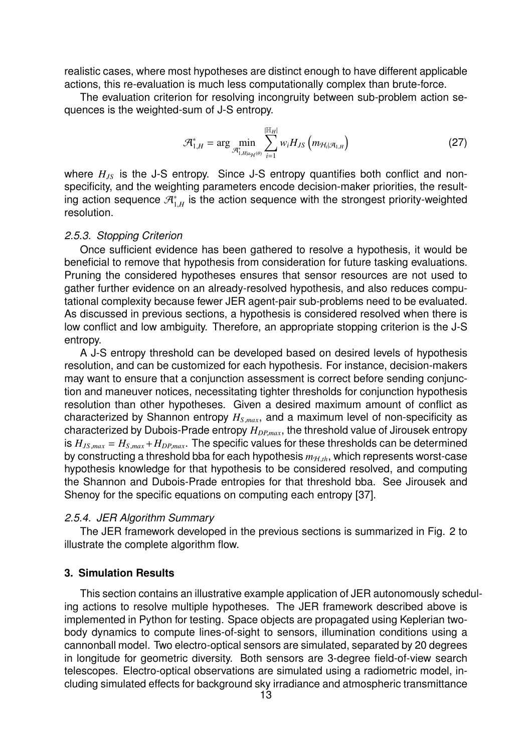realistic cases, where most hypotheses are distinct enough to have different applicable actions, this re-evaluation is much less computationally complex than brute-force.

The evaluation criterion for resolving incongruity between sub-problem action sequences is the weighted-sum of J-S entropy.

$$
\mathcal{A}_{1,H}^* = \arg \min_{\mathcal{A}_{1,H|a_{\mathcal{H}}(\theta)}^*} \sum_{i=1}^{|\mathbb{H}_H|} w_i H_{JS} \left( m_{\mathcal{H}_i|\mathcal{A}_{1,H}} \right) \tag{27}
$$

where  $H_{JS}$  is the J-S entropy. Since J-S entropy quantifies both conflict and nonspecificity, and the weighting parameters encode decision-maker priorities, the resulting action sequence  $\mathcal{A}_{1}^{*}$  $_{1,H}^{\ast}$  is the action sequence with the strongest priority-weighted resolution.

### *2.5.3. Stopping Criterion*

Once sufficient evidence has been gathered to resolve a hypothesis, it would be beneficial to remove that hypothesis from consideration for future tasking evaluations. Pruning the considered hypotheses ensures that sensor resources are not used to gather further evidence on an already-resolved hypothesis, and also reduces computational complexity because fewer JER agent-pair sub-problems need to be evaluated. As discussed in previous sections, a hypothesis is considered resolved when there is low conflict and low ambiguity. Therefore, an appropriate stopping criterion is the J-S entropy.

A J-S entropy threshold can be developed based on desired levels of hypothesis resolution, and can be customized for each hypothesis. For instance, decision-makers may want to ensure that a conjunction assessment is correct before sending conjunction and maneuver notices, necessitating tighter thresholds for conjunction hypothesis resolution than other hypotheses. Given a desired maximum amount of conflict as characterized by Shannon entropy *<sup>H</sup><sup>S</sup>*,*max*, and a maximum level of non-specificity as characterized by Dubois-Prade entropy  $H_{DP,max}$ , the threshold value of Jirousek entropy is  $H_{JS,max} = H_{S,max} + H_{DP,max}$ . The specific values for these thresholds can be determined by constructing a threshold bba for each hypothesis  $m_{H,th}$ , which represents worst-case hypothesis knowledge for that hypothesis to be considered resolved, and computing the Shannon and Dubois-Prade entropies for that threshold bba. See Jirousek and Shenoy for the specific equations on computing each entropy [37].

### *2.5.4. JER Algorithm Summary*

The JER framework developed in the previous sections is summarized in Fig. 2 to illustrate the complete algorithm flow.

## **3. Simulation Results**

This section contains an illustrative example application of JER autonomously scheduling actions to resolve multiple hypotheses. The JER framework described above is implemented in Python for testing. Space objects are propagated using Keplerian twobody dynamics to compute lines-of-sight to sensors, illumination conditions using a cannonball model. Two electro-optical sensors are simulated, separated by 20 degrees in longitude for geometric diversity. Both sensors are 3-degree field-of-view search telescopes. Electro-optical observations are simulated using a radiometric model, including simulated effects for background sky irradiance and atmospheric transmittance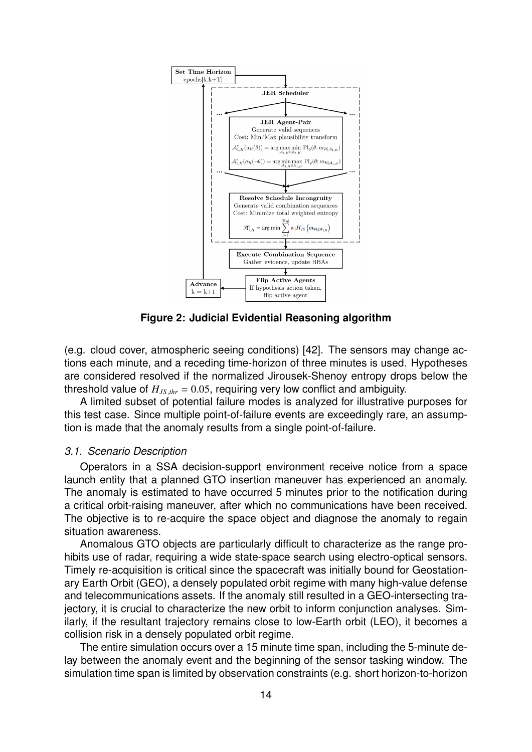

**Figure 2: Judicial Evidential Reasoning algorithm**

(e.g. cloud cover, atmospheric seeing conditions) [42]. The sensors may change actions each minute, and a receding time-horizon of three minutes is used. Hypotheses are considered resolved if the normalized Jirousek-Shenoy entropy drops below the threshold value of  $H_{JS,thr}$  = 0.05, requiring very low conflict and ambiguity.

A limited subset of potential failure modes is analyzed for illustrative purposes for this test case. Since multiple point-of-failure events are exceedingly rare, an assumption is made that the anomaly results from a single point-of-failure.

### *3.1. Scenario Description*

Operators in a SSA decision-support environment receive notice from a space launch entity that a planned GTO insertion maneuver has experienced an anomaly. The anomaly is estimated to have occurred 5 minutes prior to the notification during a critical orbit-raising maneuver, after which no communications have been received. The objective is to re-acquire the space object and diagnose the anomaly to regain situation awareness.

Anomalous GTO objects are particularly difficult to characterize as the range prohibits use of radar, requiring a wide state-space search using electro-optical sensors. Timely re-acquisition is critical since the spacecraft was initially bound for Geostationary Earth Orbit (GEO), a densely populated orbit regime with many high-value defense and telecommunications assets. If the anomaly still resulted in a GEO-intersecting trajectory, it is crucial to characterize the new orbit to inform conjunction analyses. Similarly, if the resultant trajectory remains close to low-Earth orbit (LEO), it becomes a collision risk in a densely populated orbit regime.

The entire simulation occurs over a 15 minute time span, including the 5-minute delay between the anomaly event and the beginning of the sensor tasking window. The simulation time span is limited by observation constraints (e.g. short horizon-to-horizon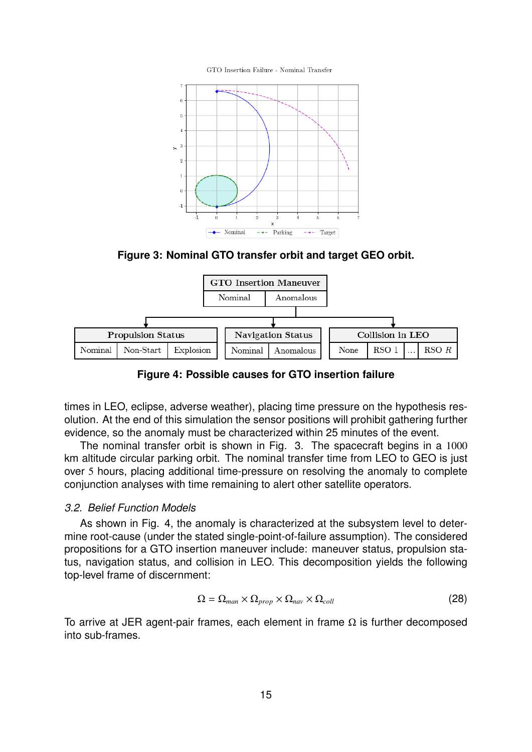GTO Insertion Failure - Nominal Transfer



**Figure 3: Nominal GTO transfer orbit and target GEO orbit.**



**Figure 4: Possible causes for GTO insertion failure**

times in LEO, eclipse, adverse weather), placing time pressure on the hypothesis resolution. At the end of this simulation the sensor positions will prohibit gathering further evidence, so the anomaly must be characterized within 25 minutes of the event.

The nominal transfer orbit is shown in Fig. 3. The spacecraft begins in a 1000 km altitude circular parking orbit. The nominal transfer time from LEO to GEO is just over 5 hours, placing additional time-pressure on resolving the anomaly to complete conjunction analyses with time remaining to alert other satellite operators.

### *3.2. Belief Function Models*

As shown in Fig. 4, the anomaly is characterized at the subsystem level to determine root-cause (under the stated single-point-of-failure assumption). The considered propositions for a GTO insertion maneuver include: maneuver status, propulsion status, navigation status, and collision in LEO. This decomposition yields the following top-level frame of discernment:

$$
\Omega = \Omega_{man} \times \Omega_{prop} \times \Omega_{nav} \times \Omega_{coll} \tag{28}
$$

To arrive at JER agent-pair frames, each element in frame  $\Omega$  is further decomposed into sub-frames.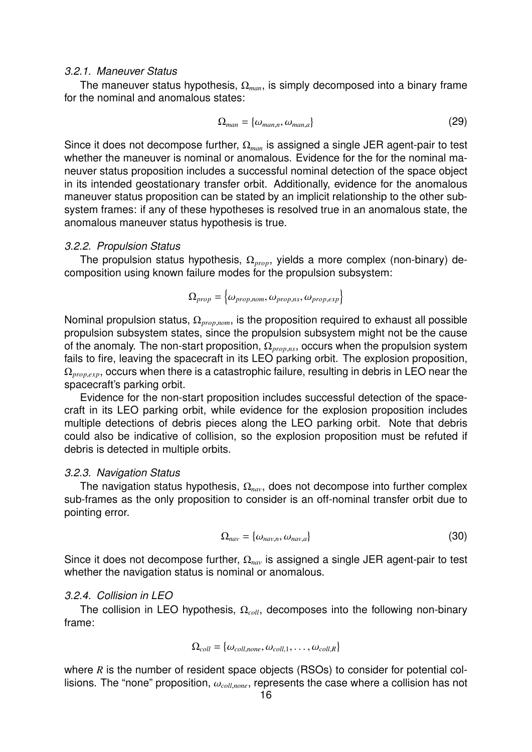#### *3.2.1. Maneuver Status*

The maneuver status hypothesis, Ω*man*, is simply decomposed into a binary frame for the nominal and anomalous states:

$$
\Omega_{man} = \{\omega_{man,n}, \omega_{man,a}\}\tag{29}
$$

Since it does not decompose further, Ω*man* is assigned a single JER agent-pair to test whether the maneuver is nominal or anomalous. Evidence for the for the nominal maneuver status proposition includes a successful nominal detection of the space object in its intended geostationary transfer orbit. Additionally, evidence for the anomalous maneuver status proposition can be stated by an implicit relationship to the other subsystem frames: if any of these hypotheses is resolved true in an anomalous state, the anomalous maneuver status hypothesis is true.

#### *3.2.2. Propulsion Status*

The propulsion status hypothesis, Ω*prop*, yields a more complex (non-binary) decomposition using known failure modes for the propulsion subsystem:

 $\Omega_{prop} = \left\{\omega_{prop,nom}, \omega_{prop,ns}, \omega_{prop,exp}\right\}$ 

Nominal propulsion status, <sup>Ω</sup>*prop*,*nom*, is the proposition required to exhaust all possible propulsion subsystem states, since the propulsion subsystem might not be the cause of the anomaly. The non-start proposition, <sup>Ω</sup>*prop*,*ns*, occurs when the propulsion system fails to fire, leaving the spacecraft in its LEO parking orbit. The explosion proposition, <sup>Ω</sup>*prop*,*exp*, occurs when there is a catastrophic failure, resulting in debris in LEO near the spacecraft's parking orbit.

Evidence for the non-start proposition includes successful detection of the spacecraft in its LEO parking orbit, while evidence for the explosion proposition includes multiple detections of debris pieces along the LEO parking orbit. Note that debris could also be indicative of collision, so the explosion proposition must be refuted if debris is detected in multiple orbits.

#### *3.2.3. Navigation Status*

The navigation status hypothesis, Ω*nav*, does not decompose into further complex sub-frames as the only proposition to consider is an off-nominal transfer orbit due to pointing error.

$$
\Omega_{nav} = \{\omega_{nav,n}, \omega_{nav,a}\}
$$
\n(30)

Since it does not decompose further, Ω*nav* is assigned a single JER agent-pair to test whether the navigation status is nominal or anomalous.

#### *3.2.4. Collision in LEO*

The collision in LEO hypothesis, Ω*coll*, decomposes into the following non-binary frame:

$$
\Omega_{coll} = \{\omega_{coll,none}, \omega_{coll,1}, \dots, \omega_{coll,R}\}
$$

where *R* is the number of resident space objects (RSOs) to consider for potential collisions. The "none" proposition, <sup>ω</sup>*coll*,*none*, represents the case where a collision has not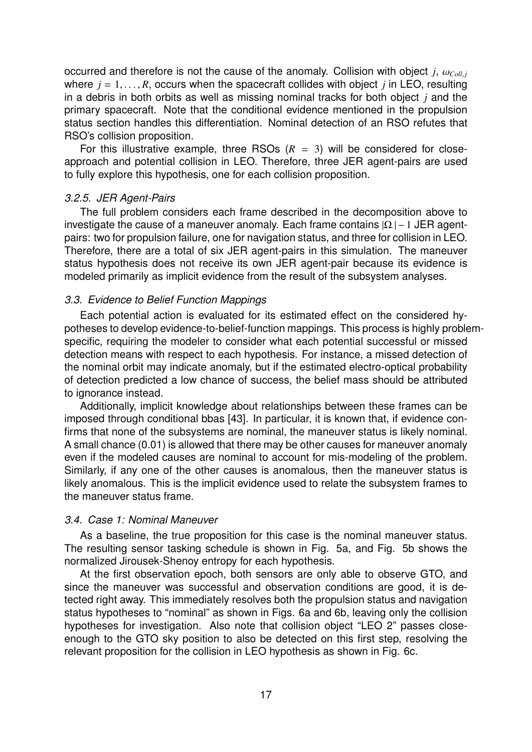occurred and therefore is not the cause of the anomaly. Collision with object *j*,  $\omega_{Coll,i}$ where  $j = 1, \ldots, R$ , occurs when the spacecraft collides with object *j* in LEO, resulting in a debris in both orbits as well as missing nominal tracks for both object *j* and the primary spacecraft. Note that the conditional evidence mentioned in the propulsion status section handles this differentiation. Nominal detection of an RSO refutes that RSO's collision proposition.

For this illustrative example, three RSOs  $(R = 3)$  will be considered for closeapproach and potential collision in LEO. Therefore, three JER agent-pairs are used to fully explore this hypothesis, one for each collision proposition.

## *3.2.5. JER Agent-Pairs*

The full problem considers each frame described in the decomposition above to investigate the cause of a maneuver anomaly. Each frame contains  $|\Omega|-1$  JER agentpairs: two for propulsion failure, one for navigation status, and three for collision in LEO. Therefore, there are a total of six JER agent-pairs in this simulation. The maneuver status hypothesis does not receive its own JER agent-pair because its evidence is modeled primarily as implicit evidence from the result of the subsystem analyses.

### *3.3. Evidence to Belief Function Mappings*

Each potential action is evaluated for its estimated effect on the considered hypotheses to develop evidence-to-belief-function mappings. This process is highly problemspecific, requiring the modeler to consider what each potential successful or missed detection means with respect to each hypothesis. For instance, a missed detection of the nominal orbit may indicate anomaly, but if the estimated electro-optical probability of detection predicted a low chance of success, the belief mass should be attributed to ignorance instead.

Additionally, implicit knowledge about relationships between these frames can be imposed through conditional bbas [43]. In particular, it is known that, if evidence confirms that none of the subsystems are nominal, the maneuver status is likely nominal. A small chance (0.01) is allowed that there may be other causes for maneuver anomaly even if the modeled causes are nominal to account for mis-modeling of the problem. Similarly, if any one of the other causes is anomalous, then the maneuver status is likely anomalous. This is the implicit evidence used to relate the subsystem frames to the maneuver status frame.

### *3.4. Case 1: Nominal Maneuver*

As a baseline, the true proposition for this case is the nominal maneuver status. The resulting sensor tasking schedule is shown in Fig. 5a, and Fig. 5b shows the normalized Jirousek-Shenoy entropy for each hypothesis.

At the first observation epoch, both sensors are only able to observe GTO, and since the maneuver was successful and observation conditions are good, it is detected right away. This immediately resolves both the propulsion status and navigation status hypotheses to "nominal" as shown in Figs. 6a and 6b, leaving only the collision hypotheses for investigation. Also note that collision object "LEO 2" passes closeenough to the GTO sky position to also be detected on this first step, resolving the relevant proposition for the collision in LEO hypothesis as shown in Fig. 6c.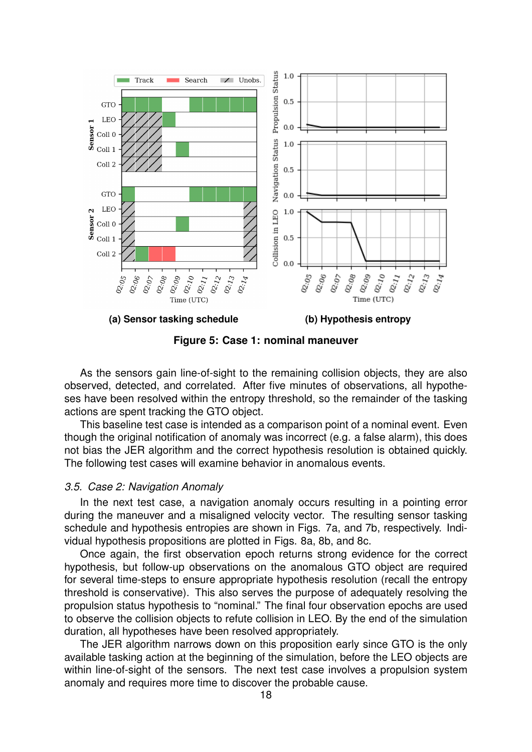

**Figure 5: Case 1: nominal maneuver**

As the sensors gain line-of-sight to the remaining collision objects, they are also observed, detected, and correlated. After five minutes of observations, all hypotheses have been resolved within the entropy threshold, so the remainder of the tasking actions are spent tracking the GTO object.

This baseline test case is intended as a comparison point of a nominal event. Even though the original notification of anomaly was incorrect (e.g. a false alarm), this does not bias the JER algorithm and the correct hypothesis resolution is obtained quickly. The following test cases will examine behavior in anomalous events.

## *3.5. Case 2: Navigation Anomaly*

In the next test case, a navigation anomaly occurs resulting in a pointing error during the maneuver and a misaligned velocity vector. The resulting sensor tasking schedule and hypothesis entropies are shown in Figs. 7a, and 7b, respectively. Individual hypothesis propositions are plotted in Figs. 8a, 8b, and 8c.

Once again, the first observation epoch returns strong evidence for the correct hypothesis, but follow-up observations on the anomalous GTO object are required for several time-steps to ensure appropriate hypothesis resolution (recall the entropy threshold is conservative). This also serves the purpose of adequately resolving the propulsion status hypothesis to "nominal." The final four observation epochs are used to observe the collision objects to refute collision in LEO. By the end of the simulation duration, all hypotheses have been resolved appropriately.

The JER algorithm narrows down on this proposition early since GTO is the only available tasking action at the beginning of the simulation, before the LEO objects are within line-of-sight of the sensors. The next test case involves a propulsion system anomaly and requires more time to discover the probable cause.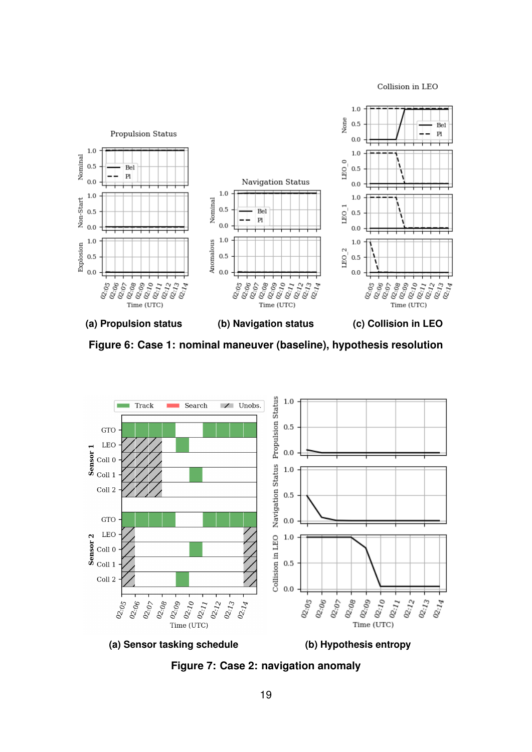Collision in LEO



**Figure 6: Case 1: nominal maneuver (baseline), hypothesis resolution**



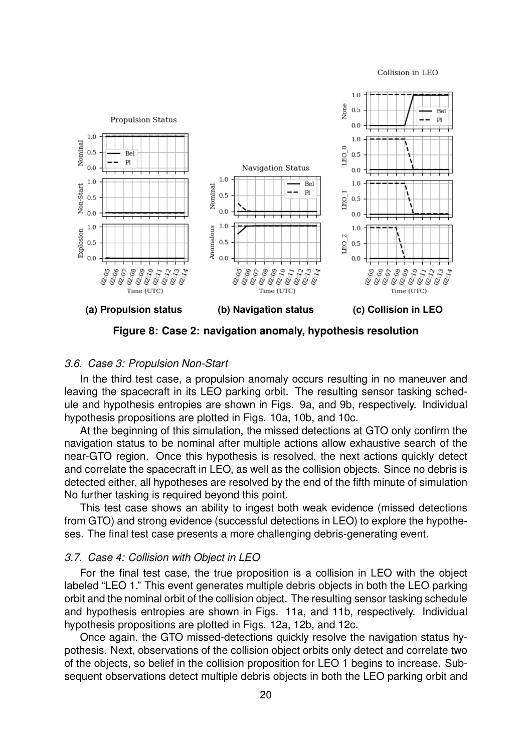#### Collision in LEO



**Figure 8: Case 2: navigation anomaly, hypothesis resolution**

## *3.6. Case 3: Propulsion Non-Start*

In the third test case, a propulsion anomaly occurs resulting in no maneuver and leaving the spacecraft in its LEO parking orbit. The resulting sensor tasking schedule and hypothesis entropies are shown in Figs. 9a, and 9b, respectively. Individual hypothesis propositions are plotted in Figs. 10a, 10b, and 10c.

At the beginning of this simulation, the missed detections at GTO only confirm the navigation status to be nominal after multiple actions allow exhaustive search of the near-GTO region. Once this hypothesis is resolved, the next actions quickly detect and correlate the spacecraft in LEO, as well as the collision objects. Since no debris is detected either, all hypotheses are resolved by the end of the fifth minute of simulation No further tasking is required beyond this point.

This test case shows an ability to ingest both weak evidence (missed detections from GTO) and strong evidence (successful detections in LEO) to explore the hypotheses. The final test case presents a more challenging debris-generating event.

#### *3.7. Case 4: Collision with Object in LEO*

For the final test case, the true proposition is a collision in LEO with the object labeled "LEO 1." This event generates multiple debris objects in both the LEO parking orbit and the nominal orbit of the collision object. The resulting sensor tasking schedule and hypothesis entropies are shown in Figs. 11a, and 11b, respectively. Individual hypothesis propositions are plotted in Figs. 12a, 12b, and 12c.

Once again, the GTO missed-detections quickly resolve the navigation status hypothesis. Next, observations of the collision object orbits only detect and correlate two of the objects, so belief in the collision proposition for LEO 1 begins to increase. Subsequent observations detect multiple debris objects in both the LEO parking orbit and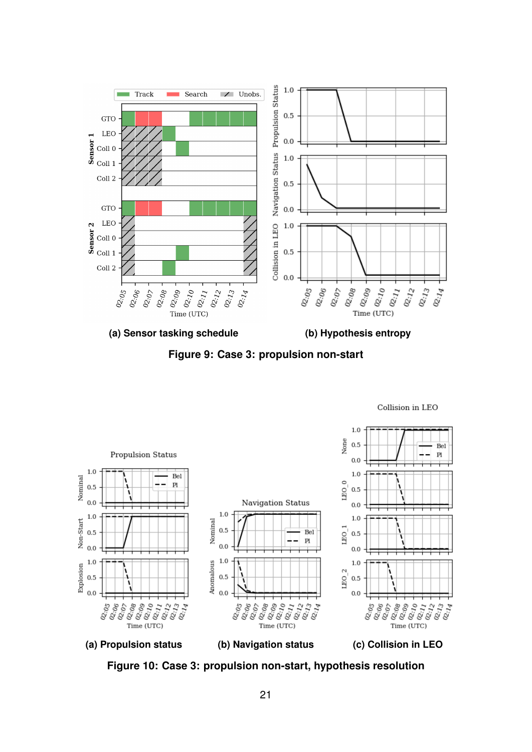





Collision in LEO



21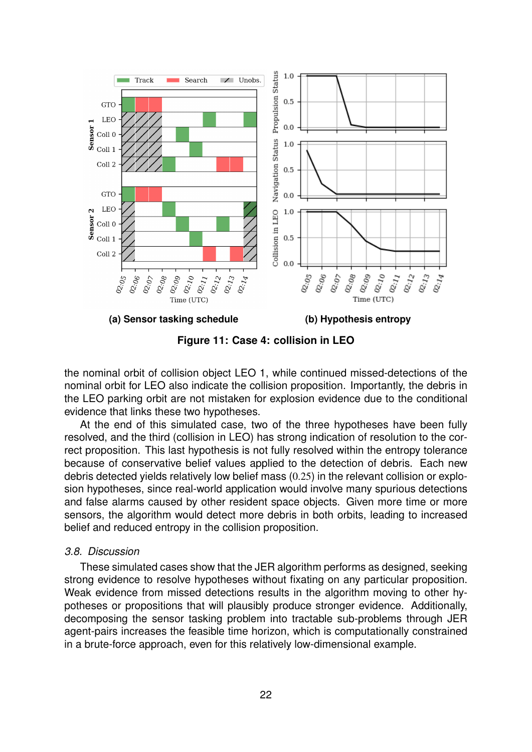

**Figure 11: Case 4: collision in LEO**

the nominal orbit of collision object LEO 1, while continued missed-detections of the nominal orbit for LEO also indicate the collision proposition. Importantly, the debris in the LEO parking orbit are not mistaken for explosion evidence due to the conditional evidence that links these two hypotheses.

At the end of this simulated case, two of the three hypotheses have been fully resolved, and the third (collision in LEO) has strong indication of resolution to the correct proposition. This last hypothesis is not fully resolved within the entropy tolerance because of conservative belief values applied to the detection of debris. Each new debris detected yields relatively low belief mass (0.25) in the relevant collision or explosion hypotheses, since real-world application would involve many spurious detections and false alarms caused by other resident space objects. Given more time or more sensors, the algorithm would detect more debris in both orbits, leading to increased belief and reduced entropy in the collision proposition.

## *3.8. Discussion*

These simulated cases show that the JER algorithm performs as designed, seeking strong evidence to resolve hypotheses without fixating on any particular proposition. Weak evidence from missed detections results in the algorithm moving to other hypotheses or propositions that will plausibly produce stronger evidence. Additionally, decomposing the sensor tasking problem into tractable sub-problems through JER agent-pairs increases the feasible time horizon, which is computationally constrained in a brute-force approach, even for this relatively low-dimensional example.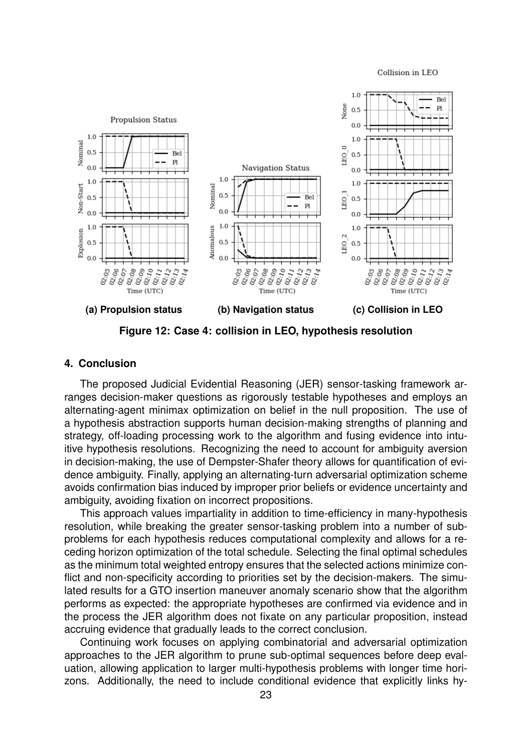Collision in LEO



**Figure 12: Case 4: collision in LEO, hypothesis resolution**

### **4. Conclusion**

The proposed Judicial Evidential Reasoning (JER) sensor-tasking framework arranges decision-maker questions as rigorously testable hypotheses and employs an alternating-agent minimax optimization on belief in the null proposition. The use of a hypothesis abstraction supports human decision-making strengths of planning and strategy, off-loading processing work to the algorithm and fusing evidence into intuitive hypothesis resolutions. Recognizing the need to account for ambiguity aversion in decision-making, the use of Dempster-Shafer theory allows for quantification of evidence ambiguity. Finally, applying an alternating-turn adversarial optimization scheme avoids confirmation bias induced by improper prior beliefs or evidence uncertainty and ambiguity, avoiding fixation on incorrect propositions.

This approach values impartiality in addition to time-efficiency in many-hypothesis resolution, while breaking the greater sensor-tasking problem into a number of subproblems for each hypothesis reduces computational complexity and allows for a receding horizon optimization of the total schedule. Selecting the final optimal schedules as the minimum total weighted entropy ensures that the selected actions minimize conflict and non-specificity according to priorities set by the decision-makers. The simulated results for a GTO insertion maneuver anomaly scenario show that the algorithm performs as expected: the appropriate hypotheses are confirmed via evidence and in the process the JER algorithm does not fixate on any particular proposition, instead accruing evidence that gradually leads to the correct conclusion.

Continuing work focuses on applying combinatorial and adversarial optimization approaches to the JER algorithm to prune sub-optimal sequences before deep evaluation, allowing application to larger multi-hypothesis problems with longer time horizons. Additionally, the need to include conditional evidence that explicitly links hy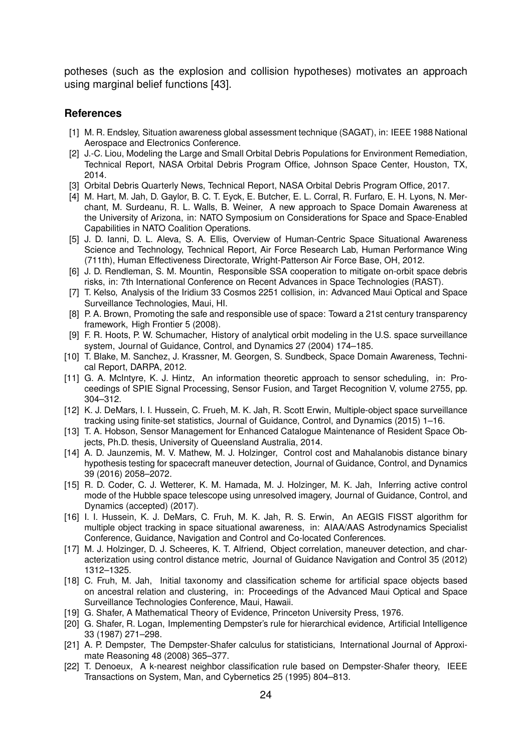potheses (such as the explosion and collision hypotheses) motivates an approach using marginal belief functions [43].

#### **References**

- [1] M. R. Endsley, Situation awareness global assessment technique (SAGAT), in: IEEE 1988 National Aerospace and Electronics Conference.
- [2] J.-C. Liou, Modeling the Large and Small Orbital Debris Populations for Environment Remediation, Technical Report, NASA Orbital Debris Program Office, Johnson Space Center, Houston, TX, 2014.
- [3] Orbital Debris Quarterly News, Technical Report, NASA Orbital Debris Program Office, 2017.
- [4] M. Hart, M. Jah, D. Gaylor, B. C. T. Eyck, E. Butcher, E. L. Corral, R. Furfaro, E. H. Lyons, N. Merchant, M. Surdeanu, R. L. Walls, B. Weiner, A new approach to Space Domain Awareness at the University of Arizona, in: NATO Symposium on Considerations for Space and Space-Enabled Capabilities in NATO Coalition Operations.
- [5] J. D. Ianni, D. L. Aleva, S. A. Ellis, Overview of Human-Centric Space Situational Awareness Science and Technology, Technical Report, Air Force Research Lab, Human Performance Wing (711th), Human Effectiveness Directorate, Wright-Patterson Air Force Base, OH, 2012.
- [6] J. D. Rendleman, S. M. Mountin, Responsible SSA cooperation to mitigate on-orbit space debris risks, in: 7th International Conference on Recent Advances in Space Technologies (RAST).
- [7] T. Kelso, Analysis of the Iridium 33 Cosmos 2251 collision, in: Advanced Maui Optical and Space Surveillance Technologies, Maui, HI.
- [8] P. A. Brown, Promoting the safe and responsible use of space: Toward a 21st century transparency framework, High Frontier 5 (2008).
- [9] F. R. Hoots, P. W. Schumacher, History of analytical orbit modeling in the U.S. space surveillance system, Journal of Guidance, Control, and Dynamics 27 (2004) 174–185.
- [10] T. Blake, M. Sanchez, J. Krassner, M. Georgen, S. Sundbeck, Space Domain Awareness, Technical Report, DARPA, 2012.
- [11] G. A. McIntyre, K. J. Hintz, An information theoretic approach to sensor scheduling, in: Proceedings of SPIE Signal Processing, Sensor Fusion, and Target Recognition V, volume 2755, pp. 304–312.
- [12] K. J. DeMars, I. I. Hussein, C. Frueh, M. K. Jah, R. Scott Erwin, Multiple-object space surveillance tracking using finite-set statistics, Journal of Guidance, Control, and Dynamics (2015) 1–16.
- [13] T. A. Hobson, Sensor Management for Enhanced Catalogue Maintenance of Resident Space Objects, Ph.D. thesis, University of Queensland Australia, 2014.
- [14] A. D. Jaunzemis, M. V. Mathew, M. J. Holzinger, Control cost and Mahalanobis distance binary hypothesis testing for spacecraft maneuver detection, Journal of Guidance, Control, and Dynamics 39 (2016) 2058–2072.
- [15] R. D. Coder, C. J. Wetterer, K. M. Hamada, M. J. Holzinger, M. K. Jah, Inferring active control mode of the Hubble space telescope using unresolved imagery, Journal of Guidance, Control, and Dynamics (accepted) (2017).
- [16] I. I. Hussein, K. J. DeMars, C. Fruh, M. K. Jah, R. S. Erwin, An AEGIS FISST algorithm for multiple object tracking in space situational awareness, in: AIAA/AAS Astrodynamics Specialist Conference, Guidance, Navigation and Control and Co-located Conferences.
- [17] M. J. Holzinger, D. J. Scheeres, K. T. Alfriend, Object correlation, maneuver detection, and characterization using control distance metric, Journal of Guidance Navigation and Control 35 (2012) 1312–1325.
- [18] C. Fruh, M. Jah, Initial taxonomy and classification scheme for artificial space objects based on ancestral relation and clustering, in: Proceedings of the Advanced Maui Optical and Space Surveillance Technologies Conference, Maui, Hawaii.
- [19] G. Shafer, A Mathematical Theory of Evidence, Princeton University Press, 1976.
- [20] G. Shafer, R. Logan, Implementing Dempster's rule for hierarchical evidence, Artificial Intelligence 33 (1987) 271–298.
- [21] A. P. Dempster, The Dempster-Shafer calculus for statisticians, International Journal of Approximate Reasoning 48 (2008) 365–377.
- [22] T. Denoeux, A k-nearest neighbor classification rule based on Dempster-Shafer theory, IEEE Transactions on System, Man, and Cybernetics 25 (1995) 804–813.